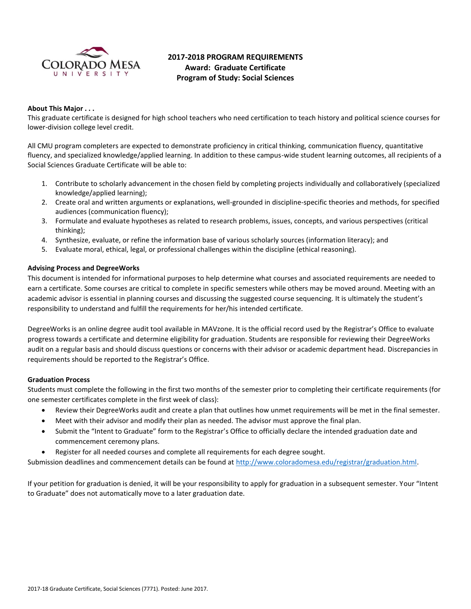

# **2017-2018 PROGRAM REQUIREMENTS Award: Graduate Certificate Program of Study: Social Sciences**

# **About This Major . . .**

This graduate certificate is designed for high school teachers who need certification to teach history and political science courses for lower-division college level credit.

All CMU program completers are expected to demonstrate proficiency in critical thinking, communication fluency, quantitative fluency, and specialized knowledge/applied learning. In addition to these campus-wide student learning outcomes, all recipients of a Social Sciences Graduate Certificate will be able to:

- 1. Contribute to scholarly advancement in the chosen field by completing projects individually and collaboratively (specialized knowledge/applied learning);
- 2. Create oral and written arguments or explanations, well-grounded in discipline-specific theories and methods, for specified audiences (communication fluency);
- 3. Formulate and evaluate hypotheses as related to research problems, issues, concepts, and various perspectives (critical thinking);
- 4. Synthesize, evaluate, or refine the information base of various scholarly sources (information literacy); and
- 5. Evaluate moral, ethical, legal, or professional challenges within the discipline (ethical reasoning).

## **Advising Process and DegreeWorks**

This document is intended for informational purposes to help determine what courses and associated requirements are needed to earn a certificate. Some courses are critical to complete in specific semesters while others may be moved around. Meeting with an academic advisor is essential in planning courses and discussing the suggested course sequencing. It is ultimately the student's responsibility to understand and fulfill the requirements for her/his intended certificate.

DegreeWorks is an online degree audit tool available in MAVzone. It is the official record used by the Registrar's Office to evaluate progress towards a certificate and determine eligibility for graduation. Students are responsible for reviewing their DegreeWorks audit on a regular basis and should discuss questions or concerns with their advisor or academic department head. Discrepancies in requirements should be reported to the Registrar's Office.

#### **Graduation Process**

Students must complete the following in the first two months of the semester prior to completing their certificate requirements (for one semester certificates complete in the first week of class):

- Review their DegreeWorks audit and create a plan that outlines how unmet requirements will be met in the final semester.
- Meet with their advisor and modify their plan as needed. The advisor must approve the final plan.
- Submit the "Intent to Graduate" form to the Registrar's Office to officially declare the intended graduation date and commencement ceremony plans.
- Register for all needed courses and complete all requirements for each degree sought.

Submission deadlines and commencement details can be found at [http://www.coloradomesa.edu/registrar/graduation.html.](http://www.coloradomesa.edu/registrar/graduation.html)

If your petition for graduation is denied, it will be your responsibility to apply for graduation in a subsequent semester. Your "Intent to Graduate" does not automatically move to a later graduation date.